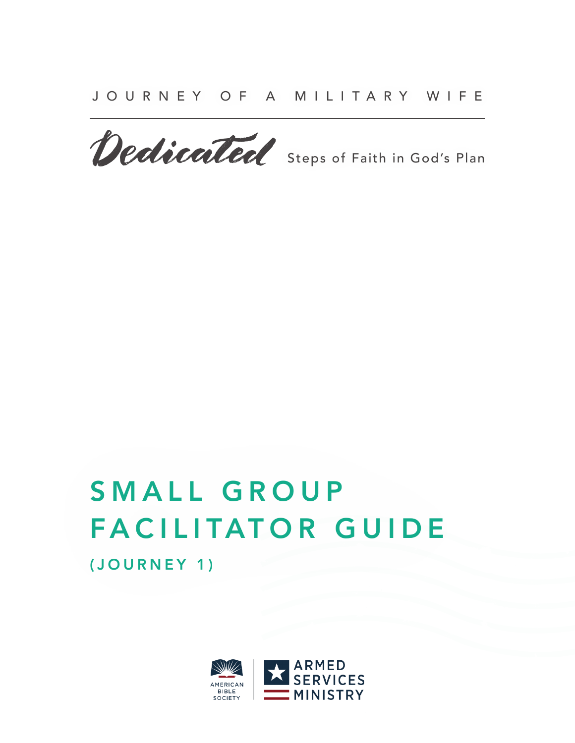Dedicated Steps of Faith in God's Plan

# SMALL GROUP FACILITATOR GUIDE (JOURNEY 1)

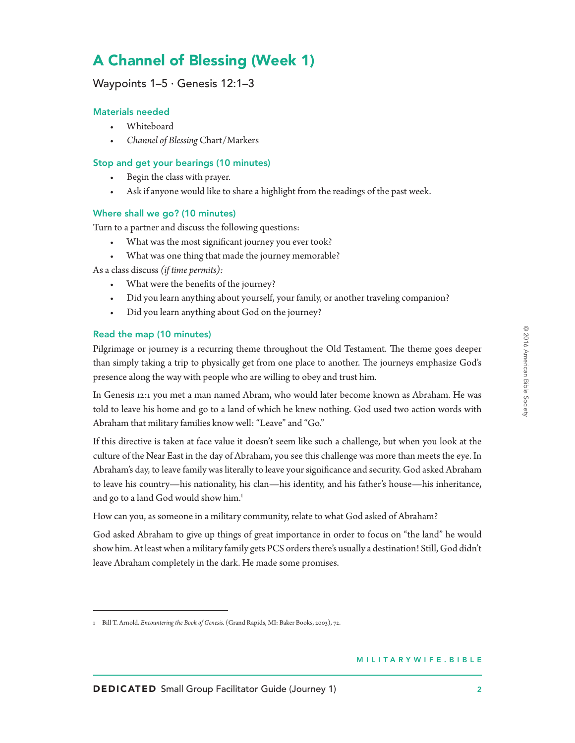# A Channel of Blessing (Week 1)

# Waypoints  $1-5 \cdot$  Genesis 12:1-3

### Materials needed

- Whiteboard
- *Channel of Blessing* Chart/Markers

# Stop and get your bearings (10 minutes)

- Begin the class with prayer.
- Ask if anyone would like to share a highlight from the readings of the past week.

### Where shall we go? (10 minutes)

Turn to a partner and discuss the following questions:

- What was the most significant journey you ever took?
- What was one thing that made the journey memorable?

As a class discuss *(if time permits):*

- What were the benefits of the journey?
- Did you learn anything about yourself, your family, or another traveling companion?
- Did you learn anything about God on the journey?

### Read the map (10 minutes)

Pilgrimage or journey is a recurring theme throughout the Old Testament. The theme goes deeper than simply taking a trip to physically get from one place to another. The journeys emphasize God's presence along the way with people who are willing to obey and trust him.

In Genesis 12:1 you met a man named Abram, who would later become known as Abraham. He was told to leave his home and go to a land of which he knew nothing. God used two action words with Abraham that military families know well: "Leave" and "Go."

If this directive is taken at face value it doesn't seem like such a challenge, but when you look at the culture of the Near East in the day of Abraham, you see this challenge was more than meets the eye. In Abraham's day, to leave family was literally to leave your significance and security. God asked Abraham to leave his country—his nationality, his clan—his identity, and his father's house—his inheritance, and go to a land God would show him.<sup>1</sup>

How can you, as someone in a military community, relate to what God asked of Abraham?

God asked Abraham to give up things of great importance in order to focus on "the land" he would show him. At least when a military family gets PCS orders there's usually a destination! Still, God didn't leave Abraham completely in the dark. He made some promises.

<sup>1</sup> Bill T. Arnold. *Encountering the Book of Genesis.* (Grand Rapids, MI: Baker Books, 2003), 72.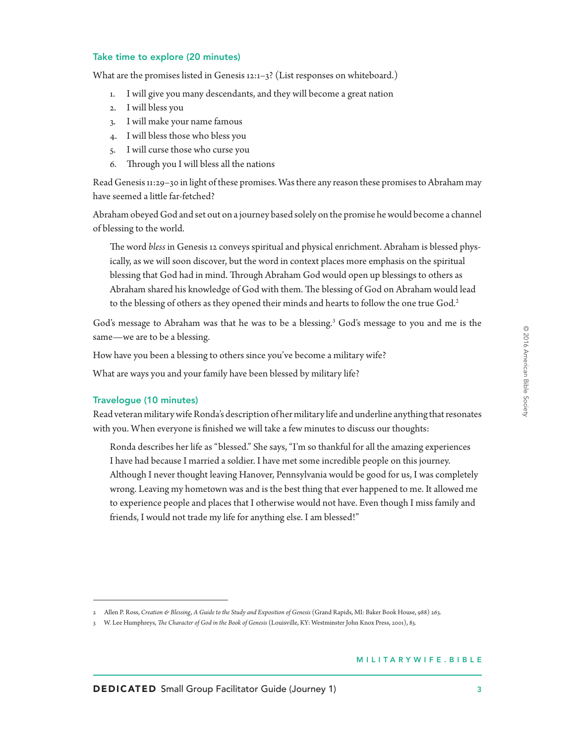#### Take time to explore (20 minutes)

What are the promises listed in Genesis 12:1–3? (List responses on whiteboard.)

- 1. I will give you many descendants, and they will become a great nation
- 2. I will bless you
- 3. I will make your name famous
- 4. I will bless those who bless you
- 5. I will curse those who curse you
- 6. Through you I will bless all the nations

Read Genesis 11:29–30 in light of these promises. Was there any reason these promises to Abraham may have seemed a little far-fetched?

Abraham obeyed God and set out on a journey based solely on the promise he would become a channel of blessing to the world.

e word *bless* in Genesis 12 conveys spiritual and physical enrichment. Abraham is blessed physically, as we will soon discover, but the word in context places more emphasis on the spiritual blessing that God had in mind. Through Abraham God would open up blessings to others as Abraham shared his knowledge of God with them. The blessing of God on Abraham would lead to the blessing of others as they opened their minds and hearts to follow the one true God.<sup>2</sup>

God's message to Abraham was that he was to be a blessing.<sup>3</sup> God's message to you and me is the same—we are to be a blessing.

How have you been a blessing to others since you've become a military wife?

What are ways you and your family have been blessed by military life?

#### Travelogue (10 minutes)

Read veteran military wife Ronda's description of her military life and underline anything that resonates with you. When everyone is finished we will take a few minutes to discuss our thoughts:

Ronda describes her life as "blessed." She says, "I'm so thankful for all the amazing experiences I have had because I married a soldier. I have met some incredible people on this journey. Although I never thought leaving Hanover, Pennsylvania would be good for us, I was completely wrong. Leaving my hometown was and is the best thing that ever happened to me. It allowed me to experience people and places that I otherwise would not have. Even though I miss family and friends, I would not trade my life for anything else. I am blessed!"

<sup>2</sup> Allen P. Ross, *Creation & Blessing, A Guide to the Study and Exposition of Genesis* (Grand Rapids, MI: Baker Book House, 988) 263.

W. Lee Humphreys, *The Character of God in the Book of Genesis* (Louisville, KY: Westminster John Knox Press, 2001), 83.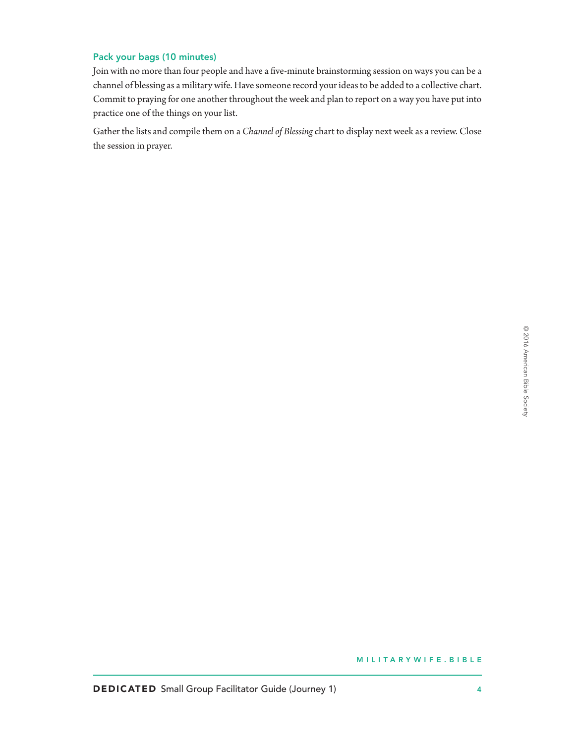# Pack your bags (10 minutes)

Join with no more than four people and have a five-minute brainstorming session on ways you can be a channel of blessing as a military wife. Have someone record your ideas to be added to a collective chart. Commit to praying for one another throughout the week and plan to report on a way you have put into practice one of the things on your list.

Gather the lists and compile them on a *Channel of Blessing* chart to display next week as a review. Close the session in prayer.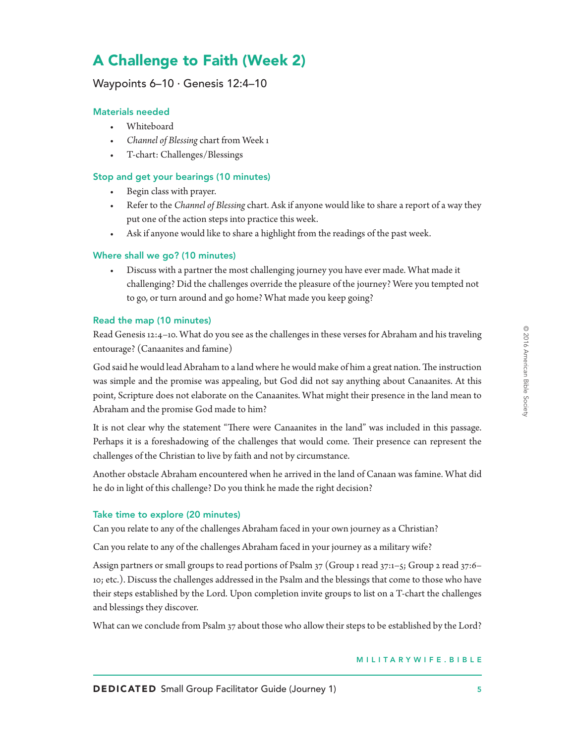# A Challenge to Faith (Week 2)

# Waypoints  $6-10 \cdot$  Genesis 12:4-10

### Materials needed

- Whiteboard
- *Channel of Blessing* chart from Week 1
- T-chart: Challenges/Blessings

### Stop and get your bearings (10 minutes)

- Begin class with prayer.
- Refer to the *Channel of Blessing* chart. Ask if anyone would like to share a report of a way they put one of the action steps into practice this week.
- Ask if anyone would like to share a highlight from the readings of the past week.

#### Where shall we go? (10 minutes)

• Discuss with a partner the most challenging journey you have ever made. What made it challenging? Did the challenges override the pleasure of the journey? Were you tempted not to go, or turn around and go home? What made you keep going?

### Read the map (10 minutes)

Read Genesis 12:4–10. What do you see as the challenges in these verses for Abraham and his traveling entourage? (Canaanites and famine)

God said he would lead Abraham to a land where he would make of him a great nation. The instruction was simple and the promise was appealing, but God did not say anything about Canaanites. At this point, Scripture does not elaborate on the Canaanites. What might their presence in the land mean to Abraham and the promise God made to him?

It is not clear why the statement "There were Canaanites in the land" was included in this passage. Perhaps it is a foreshadowing of the challenges that would come. Their presence can represent the challenges of the Christian to live by faith and not by circumstance.

Another obstacle Abraham encountered when he arrived in the land of Canaan was famine. What did he do in light of this challenge? Do you think he made the right decision?

#### Take time to explore (20 minutes)

Can you relate to any of the challenges Abraham faced in your own journey as a Christian?

Can you relate to any of the challenges Abraham faced in your journey as a military wife?

Assign partners or small groups to read portions of Psalm 37 (Group 1 read 37:1–5; Group 2 read 37:6– 10; etc.). Discuss the challenges addressed in the Psalm and the blessings that come to those who have their steps established by the Lord. Upon completion invite groups to list on a T-chart the challenges and blessings they discover.

What can we conclude from Psalm 37 about those who allow their steps to be established by the Lord?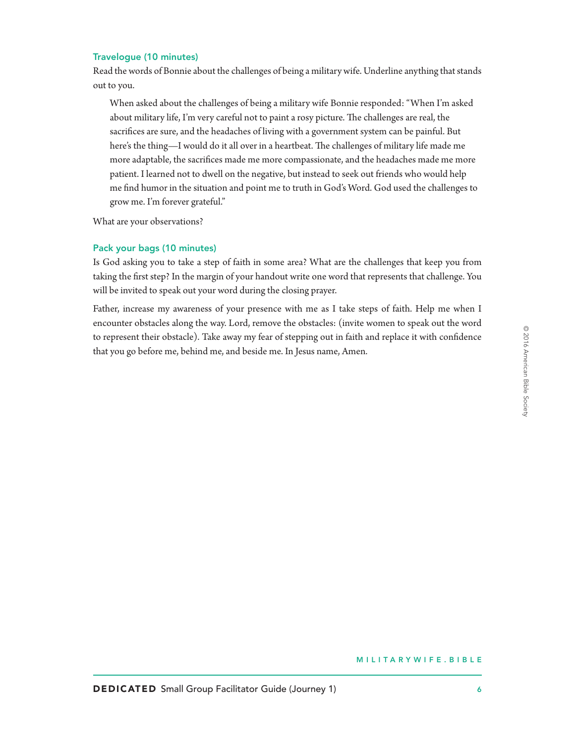#### Travelogue (10 minutes)

Read the words of Bonnie about the challenges of being a military wife. Underline anything that stands out to you.

When asked about the challenges of being a military wife Bonnie responded: "When I'm asked about military life, I'm very careful not to paint a rosy picture. The challenges are real, the sacrifices are sure, and the headaches of living with a government system can be painful. But here's the thing—I would do it all over in a heartbeat. The challenges of military life made me more adaptable, the sacrifices made me more compassionate, and the headaches made me more patient. I learned not to dwell on the negative, but instead to seek out friends who would help me find humor in the situation and point me to truth in God's Word. God used the challenges to grow me. I'm forever grateful."

What are your observations?

#### Pack your bags (10 minutes)

Is God asking you to take a step of faith in some area? What are the challenges that keep you from taking the first step? In the margin of your handout write one word that represents that challenge. You will be invited to speak out your word during the closing prayer.

Father, increase my awareness of your presence with me as I take steps of faith. Help me when I encounter obstacles along the way. Lord, remove the obstacles: (invite women to speak out the word to represent their obstacle). Take away my fear of stepping out in faith and replace it with confidence that you go before me, behind me, and beside me. In Jesus name, Amen.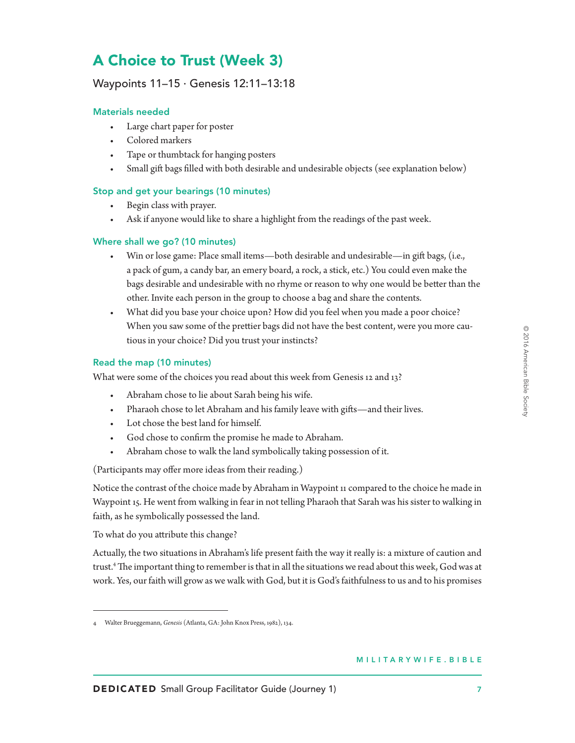# A Choice to Trust (Week 3)

# Waypoints  $11-15 \cdot$  Genesis 12:11-13:18

# Materials needed

- Large chart paper for poster
- Colored markers
- Tape or thumbtack for hanging posters
- Small gift bags filled with both desirable and undesirable objects (see explanation below)

# Stop and get your bearings (10 minutes)

- Begin class with prayer.
- Ask if anyone would like to share a highlight from the readings of the past week.

# Where shall we go? (10 minutes)

- Win or lose game: Place small items—both desirable and undesirable—in gift bags, (i.e., a pack of gum, a candy bar, an emery board, a rock, a stick, etc.) You could even make the bags desirable and undesirable with no rhyme or reason to why one would be better than the other. Invite each person in the group to choose a bag and share the contents.
- What did you base your choice upon? How did you feel when you made a poor choice? When you saw some of the prettier bags did not have the best content, were you more cautious in your choice? Did you trust your instincts?

# Read the map (10 minutes)

What were some of the choices you read about this week from Genesis 12 and 13?

- Abraham chose to lie about Sarah being his wife.
- Pharaoh chose to let Abraham and his family leave with gifts—and their lives.
- Lot chose the best land for himself.
- God chose to confirm the promise he made to Abraham.
- Abraham chose to walk the land symbolically taking possession of it.

(Participants may offer more ideas from their reading.)

Notice the contrast of the choice made by Abraham in Waypoint 11 compared to the choice he made in Waypoint 15. He went from walking in fear in not telling Pharaoh that Sarah was his sister to walking in faith, as he symbolically possessed the land.

To what do you attribute this change?

Actually, the two situations in Abraham's life present faith the way it really is: a mixture of caution and trust.<sup>4</sup> The important thing to remember is that in all the situations we read about this week, God was at work. Yes, our faith will grow as we walk with God, but it is God's faithfulness to us and to his promises

<sup>4</sup> Walter Brueggemann, *Genesis* (Atlanta, GA: John Knox Press, 1982), 134.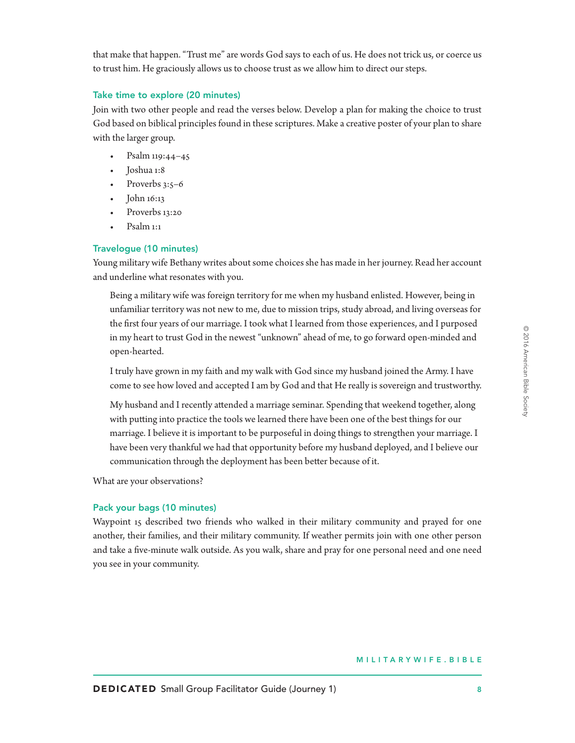that make that happen. "Trust me" are words God says to each of us. He does not trick us, or coerce us to trust him. He graciously allows us to choose trust as we allow him to direct our steps.

### Take time to explore (20 minutes)

Join with two other people and read the verses below. Develop a plan for making the choice to trust God based on biblical principles found in these scriptures. Make a creative poster of your plan to share with the larger group.

- Psalm 119:44–45
- Joshua 1:8
- Proverbs 3:5–6
- John 16:13
- Proverbs 13:20
- Psalm 1:1

#### Travelogue (10 minutes)

Young military wife Bethany writes about some choices she has made in her journey. Read her account and underline what resonates with you.

Being a military wife was foreign territory for me when my husband enlisted. However, being in unfamiliar territory was not new to me, due to mission trips, study abroad, and living overseas for the first four years of our marriage. I took what I learned from those experiences, and I purposed in my heart to trust God in the newest "unknown" ahead of me, to go forward open-minded and open-hearted.

I truly have grown in my faith and my walk with God since my husband joined the Army. I have come to see how loved and accepted I am by God and that He really is sovereign and trustworthy.

My husband and I recently attended a marriage seminar. Spending that weekend together, along with putting into practice the tools we learned there have been one of the best things for our marriage. I believe it is important to be purposeful in doing things to strengthen your marriage. I have been very thankful we had that opportunity before my husband deployed, and I believe our communication through the deployment has been better because of it.

What are your observations?

#### Pack your bags (10 minutes)

Waypoint 15 described two friends who walked in their military community and prayed for one another, their families, and their military community. If weather permits join with one other person and take a five-minute walk outside. As you walk, share and pray for one personal need and one need you see in your community.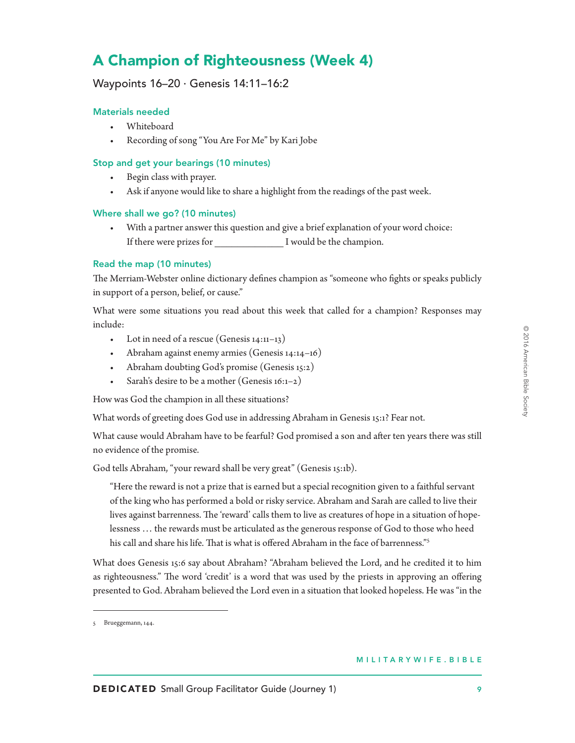# A Champion of Righteousness (Week 4)

# Waypoints  $16-20 \cdot$  Genesis  $14:11-16:2$

# Materials needed

- Whiteboard
- Recording of song "You Are For Me" by Kari Jobe

# Stop and get your bearings (10 minutes)

- Begin class with prayer.
- Ask if anyone would like to share a highlight from the readings of the past week.

#### Where shall we go? (10 minutes)

• With a partner answer this question and give a brief explanation of your word choice: If there were prizes for \_\_\_\_\_\_\_\_\_\_\_\_\_\_\_\_\_\_\_\_\_ I would be the champion.

### Read the map (10 minutes)

The Merriam-Webster online dictionary defines champion as "someone who fights or speaks publicly in support of a person, belief, or cause."

What were some situations you read about this week that called for a champion? Responses may include:

- Lot in need of a rescue (Genesis  $14:11-13$ )
- Abraham against enemy armies (Genesis 14:14–16)
- Abraham doubting God's promise (Genesis 15:2)
- Sarah's desire to be a mother (Genesis  $16:1-2$ )

How was God the champion in all these situations?

What words of greeting does God use in addressing Abraham in Genesis 15:1? Fear not.

What cause would Abraham have to be fearful? God promised a son and after ten years there was still no evidence of the promise.

God tells Abraham, "your reward shall be very great" (Genesis 15:1b).

"Here the reward is not a prize that is earned but a special recognition given to a faithful servant of the king who has performed a bold or risky service. Abraham and Sarah are called to live their lives against barrenness. The 'reward' calls them to live as creatures of hope in a situation of hopelessness … the rewards must be articulated as the generous response of God to those who heed his call and share his life. That is what is offered Abraham in the face of barrenness."<sup>5</sup>

What does Genesis 15:6 say about Abraham? "Abraham believed the Lord, and he credited it to him as righteousness." The word 'credit' is a word that was used by the priests in approving an offering presented to God. Abraham believed the Lord even in a situation that looked hopeless. He was "in the © 2016 American Bible Society

2016 American Bible Society

<sup>5</sup> Brueggemann, 144.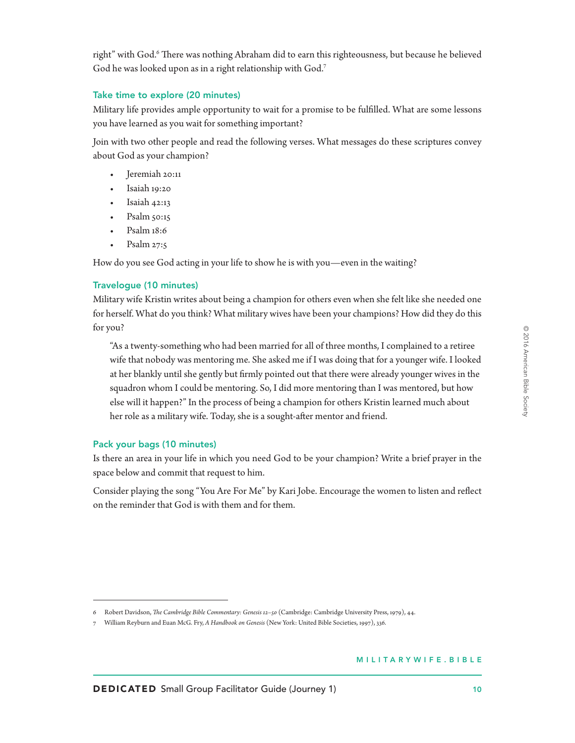right" with God.<sup>6</sup> There was nothing Abraham did to earn this righteousness, but because he believed God he was looked upon as in a right relationship with God.7

# Take time to explore (20 minutes)

Military life provides ample opportunity to wait for a promise to be fulfilled. What are some lessons you have learned as you wait for something important?

Join with two other people and read the following verses. What messages do these scriptures convey about God as your champion?

- Jeremiah 20:11
- Isaiah 19:20
- Isaiah 42:13
- Psalm 50:15
- Psalm 18:6
- Psalm 27:5

How do you see God acting in your life to show he is with you—even in the waiting?

# Travelogue (10 minutes)

Military wife Kristin writes about being a champion for others even when she felt like she needed one for herself. What do you think? What military wives have been your champions? How did they do this for you?

"As a twenty-something who had been married for all of three months, I complained to a retiree wife that nobody was mentoring me. She asked me if I was doing that for a younger wife. I looked at her blankly until she gently but firmly pointed out that there were already younger wives in the squadron whom I could be mentoring. So, I did more mentoring than I was mentored, but how else will it happen?" In the process of being a champion for others Kristin learned much about her role as a military wife. Today, she is a sought-after mentor and friend.

# Pack your bags (10 minutes)

Is there an area in your life in which you need God to be your champion? Write a brief prayer in the space below and commit that request to him.

Consider playing the song "You Are For Me" by Kari Jobe. Encourage the women to listen and reflect on the reminder that God is with them and for them.

<sup>6</sup> Robert Davidson, *e Cambridge Bible Commentary: Genesis 12–50* (Cambridge: Cambridge University Press, 1979), 44.

<sup>7</sup> William Reyburn and Euan McG. Fry, *A Handbook on Genesis* (New York: United Bible Societies, 1997), 336.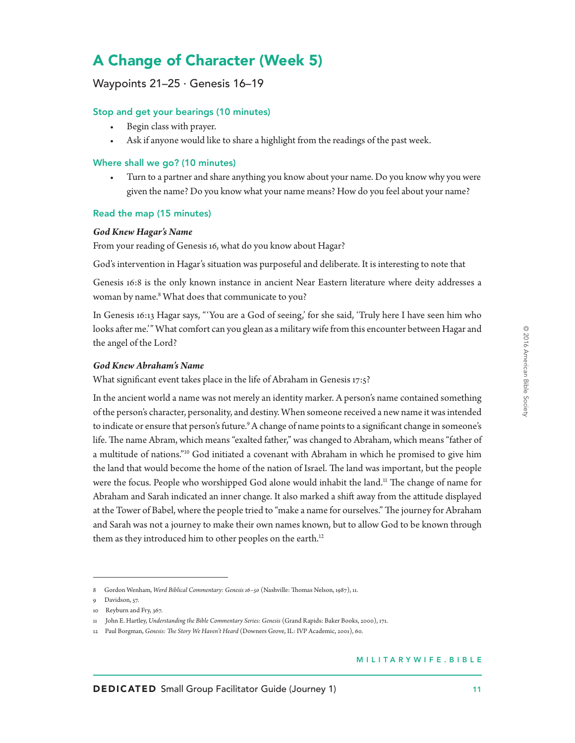# A Change of Character (Week 5)

# Waypoints 21-25 · Genesis 16-19

#### Stop and get your bearings (10 minutes)

- Begin class with prayer.
- Ask if anyone would like to share a highlight from the readings of the past week.

#### Where shall we go? (10 minutes)

• Turn to a partner and share anything you know about your name. Do you know why you were given the name? Do you know what your name means? How do you feel about your name?

#### Read the map (15 minutes)

#### *God Knew Hagar's Name*

From your reading of Genesis 16, what do you know about Hagar?

God's intervention in Hagar's situation was purposeful and deliberate. It is interesting to note that

Genesis 16:8 is the only known instance in ancient Near Eastern literature where deity addresses a woman by name.8 What does that communicate to you?

In Genesis 16:13 Hagar says, "'You are a God of seeing,' for she said, 'Truly here I have seen him who looks after me." What comfort can you glean as a military wife from this encounter between Hagar and the angel of the Lord?

# *God Knew Abraham's Name*

What significant event takes place in the life of Abraham in Genesis 17:5?

In the ancient world a name was not merely an identity marker. A person's name contained something of the person's character, personality, and destiny. When someone received a new name it was intended to indicate or ensure that person's future.<sup>9</sup> A change of name points to a significant change in someone's life. The name Abram, which means "exalted father," was changed to Abraham, which means "father of a multitude of nations."10 God initiated a covenant with Abraham in which he promised to give him the land that would become the home of the nation of Israel. The land was important, but the people were the focus. People who worshipped God alone would inhabit the land.<sup>11</sup> The change of name for Abraham and Sarah indicated an inner change. It also marked a shift away from the attitude displayed at the Tower of Babel, where the people tried to "make a name for ourselves." The journey for Abraham and Sarah was not a journey to make their own names known, but to allow God to be known through them as they introduced him to other peoples on the earth.<sup>12</sup>

<sup>8</sup> Gordon Wenham, *Word Biblical Commentary: Genesis 16-50* (Nashville: Thomas Nelson, 1987), 11.

<sup>9</sup> Davidson, 57.

<sup>10</sup> Reyburn and Fry, 367.

<sup>11</sup> John E. Hartley, *Understanding the Bible Commentary Series: Genesis* (Grand Rapids: Baker Books, 2000), 171.

<sup>12</sup> Paul Borgman, *Genesis: The Story We Haven't Heard* (Downers Grove, IL: IVP Academic, 2001), 60.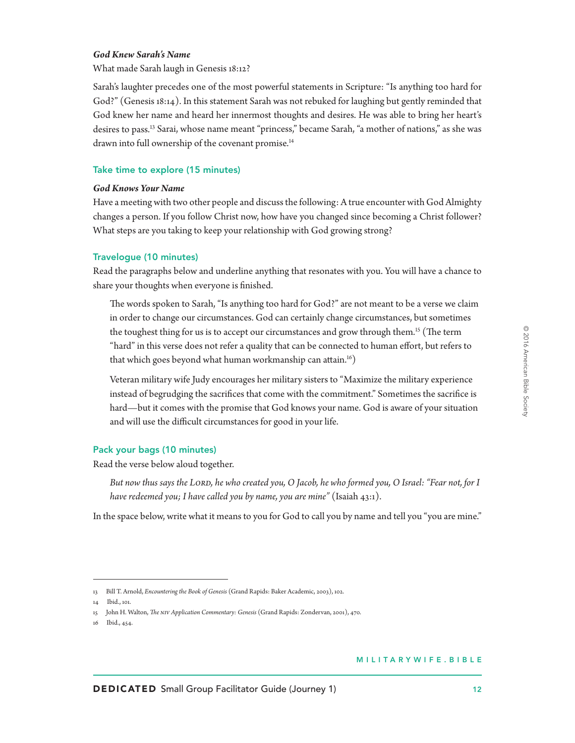#### *God Knew Sarah's Name*

What made Sarah laugh in Genesis 18:12?

Sarah's laughter precedes one of the most powerful statements in Scripture: "Is anything too hard for God?" (Genesis 18:14). In this statement Sarah was not rebuked for laughing but gently reminded that God knew her name and heard her innermost thoughts and desires. He was able to bring her heart's desires to pass.13 Sarai, whose name meant "princess," became Sarah, "a mother of nations," as she was drawn into full ownership of the covenant promise.<sup>14</sup>

#### Take time to explore (15 minutes)

#### *God Knows Your Name*

Have a meeting with two other people and discuss the following: A true encounter with God Almighty changes a person. If you follow Christ now, how have you changed since becoming a Christ follower? What steps are you taking to keep your relationship with God growing strong?

#### Travelogue (10 minutes)

Read the paragraphs below and underline anything that resonates with you. You will have a chance to share your thoughts when everyone is finished.

The words spoken to Sarah, "Is anything too hard for God?" are not meant to be a verse we claim in order to change our circumstances. God can certainly change circumstances, but sometimes the toughest thing for us is to accept our circumstances and grow through them.<sup>15</sup> (The term "hard" in this verse does not refer a quality that can be connected to human effort, but refers to that which goes beyond what human workmanship can attain.<sup>16</sup>)

Veteran military wife Judy encourages her military sisters to "Maximize the military experience instead of begrudging the sacrifices that come with the commitment." Sometimes the sacrifice is hard—but it comes with the promise that God knows your name. God is aware of your situation and will use the difficult circumstances for good in your life.

#### Pack your bags (10 minutes)

Read the verse below aloud together.

*But now thus says the LORD, he who created you, O Jacob, he who formed you, O Israel: "Fear not, for I have redeemed you; I have called you by name, you are mine"* (Isaiah 43:1).

In the space below, write what it means to you for God to call you by name and tell you "you are mine."

<sup>13</sup> Bill T. Arnold, *Encountering the Book of Genesis* (Grand Rapids: Baker Academic, 2003), 102.

<sup>14</sup> Ibid., 101.

<sup>15</sup> John H. Walton, *e NIV Application Commentary: Genesis* (Grand Rapids: Zondervan, 2001), 470.

<sup>16</sup> Ibid., 454.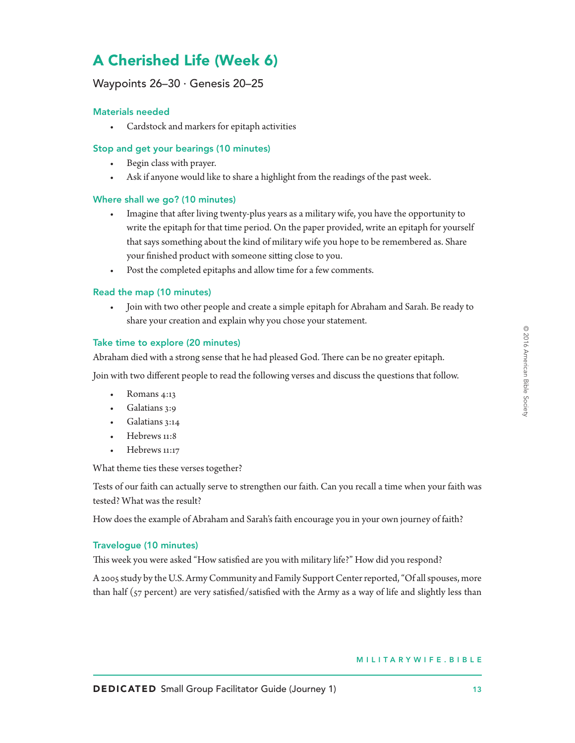# A Cherished Life (Week 6)

# Waypoints  $26-30 \cdot$  Genesis 20-25

# Materials needed

• Cardstock and markers for epitaph activities

# Stop and get your bearings (10 minutes)

- Begin class with prayer.
- Ask if anyone would like to share a highlight from the readings of the past week.

### Where shall we go? (10 minutes)

- Imagine that after living twenty-plus years as a military wife, you have the opportunity to write the epitaph for that time period. On the paper provided, write an epitaph for yourself that says something about the kind of military wife you hope to be remembered as. Share your finished product with someone sitting close to you.
- Post the completed epitaphs and allow time for a few comments.

### Read the map (10 minutes)

• Join with two other people and create a simple epitaph for Abraham and Sarah. Be ready to share your creation and explain why you chose your statement.

#### Take time to explore (20 minutes)

Abraham died with a strong sense that he had pleased God. There can be no greater epitaph.

Join with two different people to read the following verses and discuss the questions that follow.

- Romans 4:13
- Galatians 3:9
- Galatians 3:14
- Hebrews 11:8
- Hebrews 11:17

What theme ties these verses together?

Tests of our faith can actually serve to strengthen our faith. Can you recall a time when your faith was tested? What was the result?

How does the example of Abraham and Sarah's faith encourage you in your own journey of faith?

#### Travelogue (10 minutes)

This week you were asked "How satisfied are you with military life?" How did you respond?

A 2005 study by the U.S. Army Community and Family Support Center reported, "Of all spouses, more than half ( $57$  percent) are very satisfied/satisfied with the Army as a way of life and slightly less than